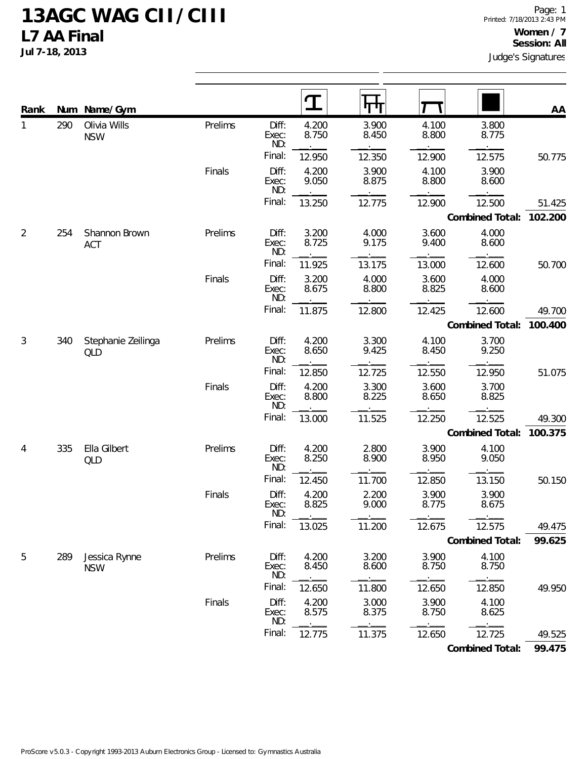**Jul 7-18, 2013**

| Rank           |     | Num Name/Gym                |         |                       | ${\bf T}$      |                |                |                 | AA      |
|----------------|-----|-----------------------------|---------|-----------------------|----------------|----------------|----------------|-----------------|---------|
| 1              | 290 | Olivia Wills<br><b>NSW</b>  | Prelims | Diff:<br>Exec:<br>ND: | 4.200<br>8.750 | 3.900<br>8.450 | 4.100<br>8.800 | 3.800<br>8.775  |         |
|                |     |                             |         | Final:                | 12.950         | 12.350         | 12.900         | 12.575          | 50.775  |
|                |     |                             | Finals  | Diff:<br>Exec:<br>ND: | 4.200<br>9.050 | 3.900<br>8.875 | 4.100<br>8.800 | 3.900<br>8.600  |         |
|                |     |                             |         | Final:                | 13.250         | 12.775         | 12.900         | 12.500          | 51.425  |
|                |     |                             |         |                       |                |                |                | Combined Total: | 102.200 |
| $\overline{2}$ | 254 | Shannon Brown<br><b>ACT</b> | Prelims | Diff:<br>Exec:<br>ND: | 3.200<br>8.725 | 4.000<br>9.175 | 3.600<br>9.400 | 4.000<br>8.600  |         |
|                |     |                             |         | Final:                | 11.925         | 13.175         | 13.000         | 12.600          | 50.700  |
|                |     |                             | Finals  | Diff:<br>Exec:<br>ND: | 3.200<br>8.675 | 4.000<br>8.800 | 3.600<br>8.825 | 4.000<br>8.600  |         |
|                |     |                             |         | Final:                | 11.875         | 12.800         | 12.425         | 12.600          | 49.700  |
|                |     |                             |         |                       |                |                |                | Combined Total: | 100.400 |
| 3              | 340 | Stephanie Zeilinga<br>QLD   | Prelims | Diff:<br>Exec:<br>ND: | 4.200<br>8.650 | 3.300<br>9.425 | 4.100<br>8.450 | 3.700<br>9.250  |         |
|                |     |                             |         | Final:                | 12.850         | 12.725         | 12.550         | 12.950          | 51.075  |
|                |     |                             | Finals  | Diff:<br>Exec:<br>ND: | 4.200<br>8.800 | 3.300<br>8.225 | 3.600<br>8.650 | 3.700<br>8.825  |         |
|                |     |                             |         | Final:                | 13.000         | 11.525         | 12.250         | 12.525          | 49.300  |
|                |     |                             |         |                       |                |                |                | Combined Total: | 100.375 |
| 4              | 335 | Ella Gilbert<br>QLD         | Prelims | Diff:<br>Exec:<br>ND: | 4.200<br>8.250 | 2.800<br>8.900 | 3.900<br>8.950 | 4.100<br>9.050  |         |
|                |     |                             |         | Final:                | 12.450         | 11.700         | 12.850         | 13.150          | 50.150  |
|                |     |                             | Finals  | Diff:<br>Exec:<br>ND: | 4.200<br>8.825 | 2.200<br>9.000 | 3.900<br>8.775 | 3.900<br>8.675  |         |
|                |     |                             |         | Final:                | 13.025         | 11.200         | 12.675         | 12.575          | 49.475  |
|                |     |                             |         |                       |                |                |                | Combined Total: | 99.625  |
| 5              | 289 | Jessica Rynne<br><b>NSW</b> | Prelims | Diff:<br>Exec:<br>ND: | 4.200<br>8.450 | 3.200<br>8.600 | 3.900<br>8.750 | 4.100<br>8.750  |         |
|                |     |                             |         | Final:                | 12.650         | 11.800         | 12.650         | 12.850          | 49.950  |
|                |     |                             | Finals  | Diff:<br>Exec:<br>ND: | 4.200<br>8.575 | 3.000<br>8.375 | 3.900<br>8.750 | 4.100<br>8.625  |         |
|                |     |                             |         | Final:                | 12.775         | 11.375         | 12.650         | 12.725          | 49.525  |
|                |     |                             |         |                       |                |                |                | Combined Total: | 99.475  |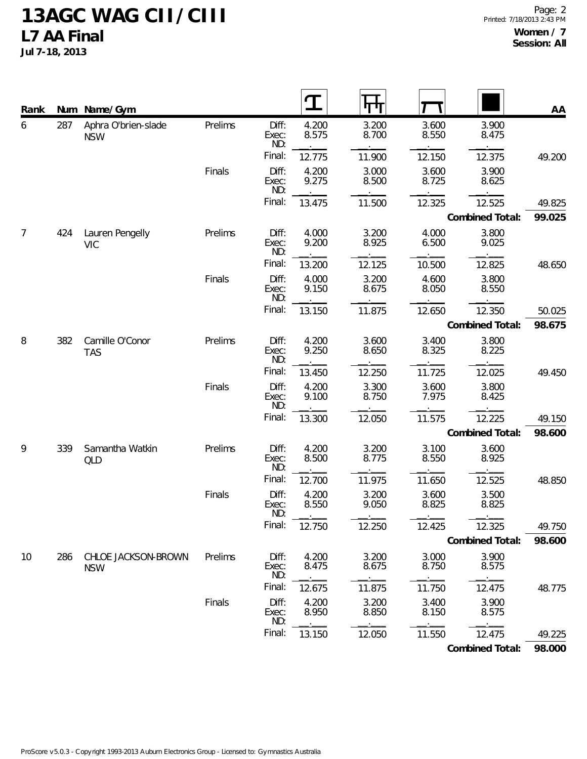**Jul 7-18, 2013**

| Rank |     | Num Name/Gym                      |         |                       |                |                |                |                 | AA     |
|------|-----|-----------------------------------|---------|-----------------------|----------------|----------------|----------------|-----------------|--------|
| 6    | 287 | Aphra O'brien-slade<br><b>NSW</b> | Prelims | Diff:<br>Exec:<br>ND: | 4.200<br>8.575 | 3.200<br>8.700 | 3.600<br>8.550 | 3.900<br>8.475  |        |
|      |     |                                   |         | Final:                | 12.775         | 11.900         | 12.150         | 12.375          | 49.200 |
|      |     |                                   | Finals  | Diff:<br>Exec:<br>ND: | 4.200<br>9.275 | 3.000<br>8.500 | 3.600<br>8.725 | 3.900<br>8.625  |        |
|      |     |                                   |         | Final:                | 13.475         | 11.500         | 12.325         | 12.525          | 49.825 |
|      |     |                                   |         |                       |                |                |                | Combined Total: | 99.025 |
| 7    | 424 | Lauren Pengelly<br><b>VIC</b>     | Prelims | Diff:<br>Exec:<br>ND: | 4.000<br>9.200 | 3.200<br>8.925 | 4.000<br>6.500 | 3.800<br>9.025  |        |
|      |     |                                   |         | Final:                | 13.200         | 12.125         | 10.500         | 12.825          | 48.650 |
|      |     |                                   | Finals  | Diff:<br>Exec:<br>ND: | 4.000<br>9.150 | 3.200<br>8.675 | 4.600<br>8.050 | 3.800<br>8.550  |        |
|      |     |                                   |         | Final:                | 13.150         | 11.875         | 12.650         | 12.350          | 50.025 |
|      |     |                                   |         |                       |                |                |                | Combined Total: | 98.675 |
| 8    | 382 | Camille O'Conor<br><b>TAS</b>     | Prelims | Diff:<br>Exec:<br>ND: | 4.200<br>9.250 | 3.600<br>8.650 | 3.400<br>8.325 | 3.800<br>8.225  |        |
|      |     |                                   |         | Final:                | 13.450         | 12.250         | 11.725         | 12.025          | 49.450 |
|      |     |                                   | Finals  | Diff:<br>Exec:<br>ND: | 4.200<br>9.100 | 3.300<br>8.750 | 3.600<br>7.975 | 3.800<br>8.425  |        |
|      |     |                                   |         | Final:                | 13.300         | 12.050         | 11.575         | 12.225          | 49.150 |
|      |     |                                   |         |                       |                |                |                | Combined Total: | 98.600 |
| 9    | 339 | Samantha Watkin<br>QLD            | Prelims | Diff:<br>Exec:<br>ND: | 4.200<br>8.500 | 3.200<br>8.775 | 3.100<br>8.550 | 3.600<br>8.925  |        |
|      |     |                                   |         | Final:                | 12.700         | 11.975         | 11.650         | 12.525          | 48.850 |
|      |     |                                   | Finals  | Diff:<br>Exec:<br>ND: | 4.200<br>8.550 | 3.200<br>9.050 | 3.600<br>8.825 | 3.500<br>8.825  |        |
|      |     |                                   |         | Final:                | 12.750         | 12.250         | 12.425         | 12.325          | 49.750 |
|      |     |                                   |         |                       |                |                |                | Combined Total: | 98.600 |
| 10   | 286 | CHLOE JACKSON-BROWN<br><b>NSW</b> | Prelims | Diff:<br>Exec:<br>ND: | 4.200<br>8.475 | 3.200<br>8.675 | 3.000<br>8.750 | 3.900<br>8.575  |        |
|      |     |                                   |         | Final:                | 12.675         | 11.875         | 11.750         | 12.475          | 48.775 |
|      |     |                                   | Finals  | Diff:<br>Exec:<br>ND: | 4.200<br>8.950 | 3.200<br>8.850 | 3.400<br>8.150 | 3.900<br>8.575  |        |
|      |     |                                   |         | Final:                | 13.150         | 12.050         | 11.550         | 12.475          | 49.225 |
|      |     |                                   |         |                       |                |                |                | Combined Total: | 98.000 |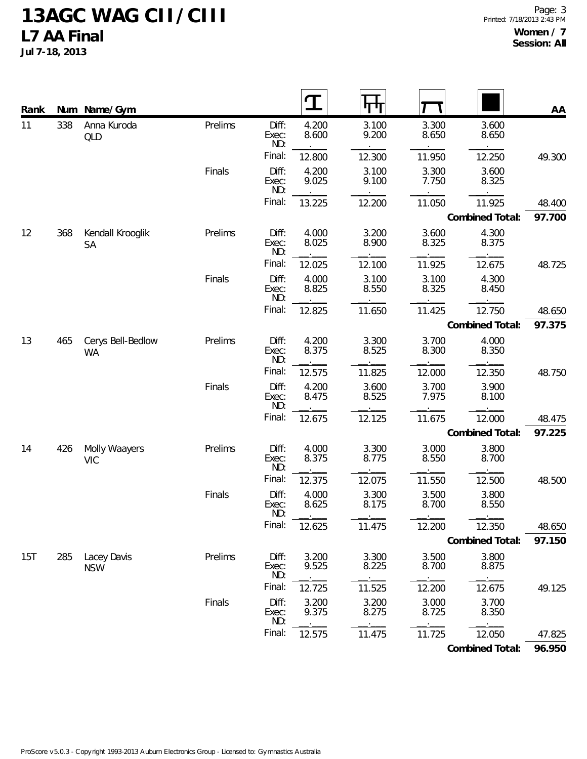**Jul 7-18, 2013**

| Rank | Num | Name/Gym                       |         |                       |                | पण             |                |                 | AA     |
|------|-----|--------------------------------|---------|-----------------------|----------------|----------------|----------------|-----------------|--------|
| 11   | 338 | Anna Kuroda<br><b>QLD</b>      | Prelims | Diff:<br>Exec:<br>ND: | 4.200<br>8.600 | 3.100<br>9.200 | 3.300<br>8.650 | 3.600<br>8.650  |        |
|      |     |                                |         | Final:                | 12.800         | 12.300         | 11.950         | 12.250          | 49.300 |
|      |     |                                | Finals  | Diff:<br>Exec:<br>ND: | 4.200<br>9.025 | 3.100<br>9.100 | 3.300<br>7.750 | 3.600<br>8.325  |        |
|      |     |                                |         | Final:                | 13.225         | 12.200         | 11.050         | 11.925          | 48.400 |
|      |     |                                |         |                       |                |                |                | Combined Total: | 97.700 |
| 12   | 368 | Kendall Krooglik<br><b>SA</b>  | Prelims | Diff:<br>Exec:<br>ND: | 4.000<br>8.025 | 3.200<br>8.900 | 3.600<br>8.325 | 4.300<br>8.375  |        |
|      |     |                                |         | Final:                | 12.025         | 12.100         | 11.925         | 12.675          | 48.725 |
|      |     |                                | Finals  | Diff:<br>Exec:<br>ND: | 4.000<br>8.825 | 3.100<br>8.550 | 3.100<br>8.325 | 4.300<br>8.450  |        |
|      |     |                                |         | Final:                | 12.825         | 11.650         | 11.425         | 12.750          | 48.650 |
|      |     |                                |         |                       |                |                |                | Combined Total: | 97.375 |
| 13   | 465 | Cerys Bell-Bedlow<br><b>WA</b> | Prelims | Diff:<br>Exec:<br>ND: | 4.200<br>8.375 | 3.300<br>8.525 | 3.700<br>8.300 | 4.000<br>8.350  |        |
|      |     |                                |         | Final:                | 12.575         | 11.825         | 12.000         | 12.350          | 48.750 |
|      |     |                                | Finals  | Diff:<br>Exec:<br>ND: | 4.200<br>8.475 | 3.600<br>8.525 | 3.700<br>7.975 | 3.900<br>8.100  |        |
|      |     |                                |         | Final:                | 12.675         | 12.125         | 11.675         | 12.000          | 48.475 |
|      |     |                                |         |                       |                |                |                | Combined Total: | 97.225 |
| 14   | 426 | Molly Waayers<br><b>VIC</b>    | Prelims | Diff:<br>Exec:<br>ND: | 4.000<br>8.375 | 3.300<br>8.775 | 3.000<br>8.550 | 3.800<br>8.700  |        |
|      |     |                                |         | Final:                | 12.375         | 12.075         | 11.550         | 12.500          | 48.500 |
|      |     |                                | Finals  | Diff:<br>Exec:<br>ND: | 4.000<br>8.625 | 3.300<br>8.175 | 3.500<br>8.700 | 3.800<br>8.550  |        |
|      |     |                                |         | Final:                | 12.625         | 11.475         | 12.200         | 12.350          | 48.650 |
|      |     |                                |         |                       |                |                |                | Combined Total: | 97.150 |
| 15T  | 285 | Lacey Davis<br><b>NSW</b>      | Prelims | Diff:<br>Exec:<br>ND: | 3.200<br>9.525 | 3.300<br>8.225 | 3.500<br>8.700 | 3.800<br>8.875  |        |
|      |     |                                |         | Final:                | 12.725         | 11.525         | 12.200         | 12.675          | 49.125 |
|      |     |                                | Finals  | Diff:<br>Exec:<br>ND: | 3.200<br>9.375 | 3.200<br>8.275 | 3.000<br>8.725 | 3.700<br>8.350  |        |
|      |     |                                |         | Final:                | 12.575         | 11.475         | 11.725         | 12.050          | 47.825 |

**Combined Total: 96.950**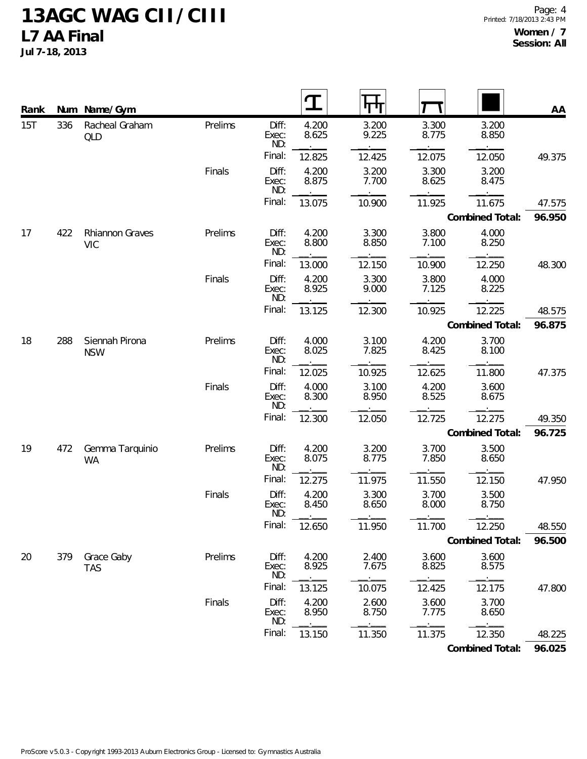**Jul 7-18, 2013**

| Rank |     | Num Name/Gym                  |         |                       |                |                |                |                 | AA     |
|------|-----|-------------------------------|---------|-----------------------|----------------|----------------|----------------|-----------------|--------|
| 15T  | 336 | Racheal Graham<br><b>QLD</b>  | Prelims | Diff:<br>Exec:<br>ND: | 4.200<br>8.625 | 3.200<br>9.225 | 3.300<br>8.775 | 3.200<br>8.850  |        |
|      |     |                               |         | Final:                | 12.825         | 12.425         | 12.075         | 12.050          | 49.375 |
|      |     |                               | Finals  | Diff:<br>Exec:<br>ND: | 4.200<br>8.875 | 3.200<br>7.700 | 3.300<br>8.625 | 3.200<br>8.475  |        |
|      |     |                               |         | Final:                | 13.075         | 10.900         | 11.925         | 11.675          | 47.575 |
|      |     |                               |         |                       |                |                |                | Combined Total: | 96.950 |
| 17   | 422 | Rhiannon Graves<br><b>VIC</b> | Prelims | Diff:<br>Exec:<br>ND: | 4.200<br>8.800 | 3.300<br>8.850 | 3.800<br>7.100 | 4.000<br>8.250  |        |
|      |     |                               |         | Final:                | 13.000         | 12.150         | 10.900         | 12.250          | 48.300 |
|      |     |                               | Finals  | Diff:<br>Exec:<br>ND: | 4.200<br>8.925 | 3.300<br>9.000 | 3.800<br>7.125 | 4.000<br>8.225  |        |
|      |     |                               |         | Final:                | 13.125         | 12.300         | 10.925         | 12.225          | 48.575 |
|      |     |                               |         |                       |                |                |                | Combined Total: | 96.875 |
| 18   | 288 | Siennah Pirona<br><b>NSW</b>  | Prelims | Diff:<br>Exec:<br>ND: | 4.000<br>8.025 | 3.100<br>7.825 | 4.200<br>8.425 | 3.700<br>8.100  |        |
|      |     |                               |         | Final:                | 12.025         | 10.925         | 12.625         | 11.800          | 47.375 |
|      |     |                               | Finals  | Diff:<br>Exec:<br>ND: | 4.000<br>8.300 | 3.100<br>8.950 | 4.200<br>8.525 | 3.600<br>8.675  |        |
|      |     |                               |         | Final:                | 12.300         | 12.050         | 12.725         | 12.275          | 49.350 |
|      |     |                               |         |                       |                |                |                | Combined Total: | 96.725 |
| 19   | 472 | Gemma Tarquinio<br><b>WA</b>  | Prelims | Diff:<br>Exec:<br>ND: | 4.200<br>8.075 | 3.200<br>8.775 | 3.700<br>7.850 | 3.500<br>8.650  |        |
|      |     |                               |         | Final:                | 12.275         | 11.975         | 11.550         | 12.150          | 47.950 |
|      |     |                               | Finals  | Diff:<br>Exec:<br>ND: | 4.200<br>8.450 | 3.300<br>8.650 | 3.700<br>8.000 | 3.500<br>8.750  |        |
|      |     |                               |         | Final:                | 12.650         | 11.950         | 11.700         | 12.250          | 48.550 |
|      |     |                               |         |                       |                |                |                | Combined Total: | 96.500 |
| 20   | 379 | Grace Gaby<br><b>TAS</b>      | Prelims | Diff:<br>Exec:<br>ND: | 4.200<br>8.925 | 2.400<br>7.675 | 3.600<br>8.825 | 3.600<br>8.575  |        |
|      |     |                               |         | Final:                | 13.125         | 10.075         | 12.425         | 12.175          | 47.800 |
|      |     |                               | Finals  | Diff:<br>Exec:<br>ND: | 4.200<br>8.950 | 2.600<br>8.750 | 3.600<br>7.775 | 3.700<br>8.650  |        |
|      |     |                               |         | Final:                | 13.150         | 11.350         | 11.375         | 12.350          | 48.225 |

**Combined Total: 96.025**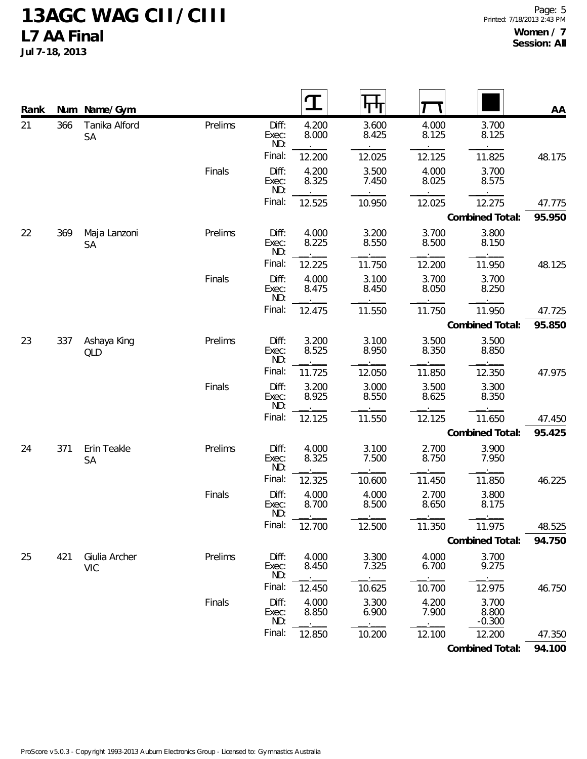**Jul 7-18, 2013**

| Rank | Num | Name/Gym                    |         |                       | T              |                |                |                            | AA     |
|------|-----|-----------------------------|---------|-----------------------|----------------|----------------|----------------|----------------------------|--------|
| 21   | 366 | Tanika Alford<br><b>SA</b>  | Prelims | Diff:<br>Exec:<br>ND: | 4.200<br>8.000 | 3.600<br>8.425 | 4.000<br>8.125 | 3.700<br>8.125             |        |
|      |     |                             |         | Final:                | 12.200         | 12.025         | 12.125         | 11.825                     | 48.175 |
|      |     |                             | Finals  | Diff:<br>Exec:<br>ND: | 4.200<br>8.325 | 3.500<br>7.450 | 4.000<br>8.025 | 3.700<br>8.575             |        |
|      |     |                             |         | Final:                | 12.525         | 10.950         | 12.025         | 12.275                     | 47.775 |
|      |     |                             |         |                       |                |                |                | Combined Total:            | 95.950 |
| 22   | 369 | Maja Lanzoni<br><b>SA</b>   | Prelims | Diff:<br>Exec:<br>ND: | 4.000<br>8.225 | 3.200<br>8.550 | 3.700<br>8.500 | 3.800<br>8.150             |        |
|      |     |                             |         | Final:                | 12.225         | 11.750         | 12.200         | 11.950                     | 48.125 |
|      |     |                             | Finals  | Diff:<br>Exec:<br>ND: | 4.000<br>8.475 | 3.100<br>8.450 | 3.700<br>8.050 | 3.700<br>8.250             |        |
|      |     |                             |         | Final:                | 12.475         | 11.550         | 11.750         | 11.950                     | 47.725 |
|      |     |                             |         |                       |                |                |                | Combined Total:            | 95.850 |
| 23   | 337 | Ashaya King<br>QLD          | Prelims | Diff:<br>Exec:<br>ND: | 3.200<br>8.525 | 3.100<br>8.950 | 3.500<br>8.350 | 3.500<br>8.850             |        |
|      |     |                             |         | Final:                | 11.725         | 12.050         | 11.850         | 12.350                     | 47.975 |
|      |     |                             | Finals  | Diff:<br>Exec:<br>ND: | 3.200<br>8.925 | 3.000<br>8.550 | 3.500<br>8.625 | 3.300<br>8.350             |        |
|      |     |                             |         | Final:                | 12.125         | 11.550         | 12.125         | 11.650                     | 47.450 |
|      |     |                             |         |                       |                |                |                | Combined Total:            | 95.425 |
| 24   | 371 | Erin Teakle<br><b>SA</b>    | Prelims | Diff:<br>Exec:<br>ND: | 4.000<br>8.325 | 3.100<br>7.500 | 2.700<br>8.750 | 3.900<br>7.950             |        |
|      |     |                             |         | Final:                | 12.325         | 10.600         | 11.450         | 11.850                     | 46.225 |
|      |     |                             | Finals  | Diff:<br>Exec:<br>ND: | 4.000<br>8.700 | 4.000<br>8.500 | 2.700<br>8.650 | 3.800<br>8.175             |        |
|      |     |                             |         | Final:                | 12.700         | 12.500         | 11.350         | 11.975                     | 48.525 |
|      |     |                             |         |                       |                |                |                | Combined Total:            | 94.750 |
| 25   | 421 | Giulia Archer<br><b>VIC</b> | Prelims | Diff:<br>Exec:<br>ND: | 4.000<br>8.450 | 3.300<br>7.325 | 4.000<br>6.700 | 3.700<br>9.275             |        |
|      |     |                             |         | Final:                | 12.450         | 10.625         | 10.700         | 12.975                     | 46.750 |
|      |     |                             | Finals  | Diff:<br>Exec:<br>ND: | 4.000<br>8.850 | 3.300<br>6.900 | 4.200<br>7.900 | 3.700<br>8.800<br>$-0.300$ |        |
|      |     |                             |         | Final:                | 12.850         | 10.200         | 12.100         | 12.200                     | 47.350 |

**Combined Total: 94.100**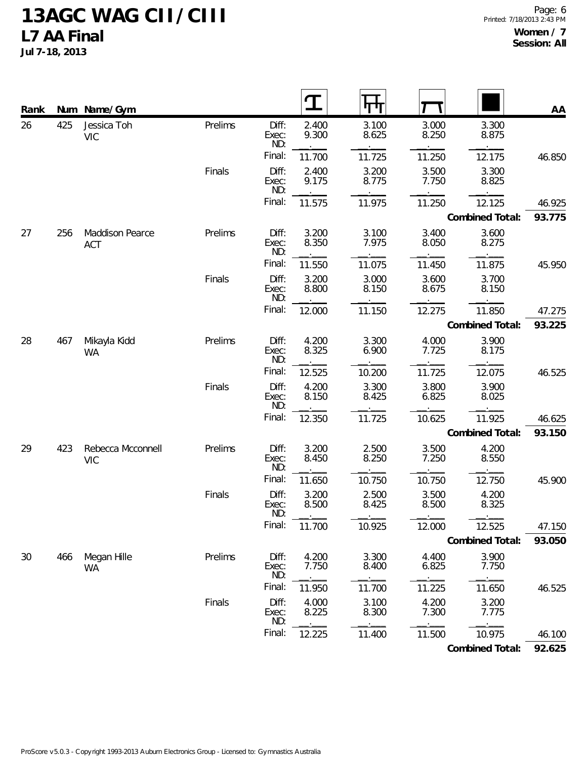**Jul 7-18, 2013**

| Rank |     | Num Name/Gym                         |         |                       | T              |                |                |                 | AA     |
|------|-----|--------------------------------------|---------|-----------------------|----------------|----------------|----------------|-----------------|--------|
| 26   | 425 | Jessica Toh<br><b>VIC</b>            | Prelims | Diff:<br>Exec:<br>ND: | 2.400<br>9.300 | 3.100<br>8.625 | 3.000<br>8.250 | 3.300<br>8.875  |        |
|      |     |                                      |         | Final:                | 11.700         | 11.725         | 11.250         | 12.175          | 46.850 |
|      |     |                                      | Finals  | Diff:<br>Exec:<br>ND: | 2.400<br>9.175 | 3.200<br>8.775 | 3.500<br>7.750 | 3.300<br>8.825  |        |
|      |     |                                      |         | Final:                | 11.575         | 11.975         | 11.250         | 12.125          | 46.925 |
|      |     |                                      |         |                       |                |                |                | Combined Total: | 93.775 |
| 27   | 256 | <b>Maddison Pearce</b><br><b>ACT</b> | Prelims | Diff:<br>Exec:<br>ND: | 3.200<br>8.350 | 3.100<br>7.975 | 3.400<br>8.050 | 3.600<br>8.275  |        |
|      |     |                                      |         | Final:                | 11.550         | 11.075         | 11.450         | 11.875          | 45.950 |
|      |     |                                      | Finals  | Diff:<br>Exec:<br>ND: | 3.200<br>8.800 | 3.000<br>8.150 | 3.600<br>8.675 | 3.700<br>8.150  |        |
|      |     |                                      |         | Final:                | 12.000         | 11.150         | 12.275         | 11.850          | 47.275 |
|      |     |                                      |         |                       |                |                |                | Combined Total: | 93.225 |
| 28   | 467 | Mikayla Kidd<br><b>WA</b>            | Prelims | Diff:<br>Exec:<br>ND: | 4.200<br>8.325 | 3.300<br>6.900 | 4.000<br>7.725 | 3.900<br>8.175  |        |
|      |     |                                      |         | Final:                | 12.525         | 10.200         | 11.725         | 12.075          | 46.525 |
|      |     |                                      | Finals  | Diff:<br>Exec:<br>ND: | 4.200<br>8.150 | 3.300<br>8.425 | 3.800<br>6.825 | 3.900<br>8.025  |        |
|      |     |                                      |         | Final:                | 12.350         | 11.725         | 10.625         | 11.925          | 46.625 |
|      |     |                                      |         |                       |                |                |                | Combined Total: | 93.150 |
| 29   | 423 | Rebecca Mcconnell<br><b>VIC</b>      | Prelims | Diff:<br>Exec:<br>ND: | 3.200<br>8.450 | 2.500<br>8.250 | 3.500<br>7.250 | 4.200<br>8.550  |        |
|      |     |                                      |         | Final:                | 11.650         | 10.750         | 10.750         | 12.750          | 45.900 |
|      |     |                                      | Finals  | Diff:<br>Exec:<br>ND: | 3.200<br>8.500 | 2.500<br>8.425 | 3.500<br>8.500 | 4.200<br>8.325  |        |
|      |     |                                      |         | Final:                | 11.700         | 10.925         | 12.000         | 12.525          | 47.150 |
|      |     |                                      |         |                       |                |                |                | Combined Total: | 93.050 |
| 30   | 466 | Megan Hille<br><b>WA</b>             | Prelims | Diff:<br>Exec:<br>ND: | 4.200<br>7.750 | 3.300<br>8.400 | 4.400<br>6.825 | 3.900<br>7.750  |        |
|      |     |                                      |         | Final:                | 11.950         | 11.700         | 11.225         | 11.650          | 46.525 |
|      |     |                                      | Finals  | Diff:<br>Exec:<br>ND: | 4.000<br>8.225 | 3.100<br>8.300 | 4.200<br>7.300 | 3.200<br>7.775  |        |
|      |     |                                      |         | Final:                | 12.225         | 11.400         | 11.500         | 10.975          | 46.100 |

**Combined Total: 92.625**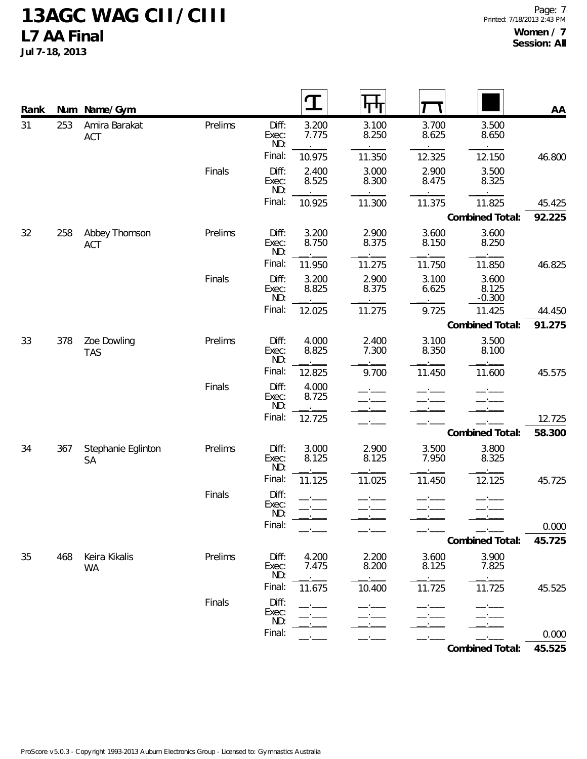**Jul 7-18, 2013**

| Rank |     | Num Name/Gym                    |         |                       | T              | गग             |                |                            | AA     |
|------|-----|---------------------------------|---------|-----------------------|----------------|----------------|----------------|----------------------------|--------|
| 31   | 253 | Amira Barakat<br>ACT            | Prelims | Diff:<br>Exec:<br>ND: | 3.200<br>7.775 | 3.100<br>8.250 | 3.700<br>8.625 | 3.500<br>8.650             |        |
|      |     |                                 |         | Final:                | 10.975         | 11.350         | 12.325         | 12.150                     | 46.800 |
|      |     |                                 | Finals  | Diff:<br>Exec:<br>ND: | 2.400<br>8.525 | 3.000<br>8.300 | 2.900<br>8.475 | 3.500<br>8.325             |        |
|      |     |                                 |         | Final:                | 10.925         | 11.300         | 11.375         | 11.825                     | 45.425 |
|      |     |                                 |         |                       |                |                |                | Combined Total:            | 92.225 |
| 32   | 258 | Abbey Thomson<br>ACT            | Prelims | Diff:<br>Exec:<br>ND: | 3.200<br>8.750 | 2.900<br>8.375 | 3.600<br>8.150 | 3.600<br>8.250             |        |
|      |     |                                 |         | Final:                | 11.950         | 11.275         | 11.750         | 11.850                     | 46.825 |
|      |     |                                 | Finals  | Diff:<br>Exec:<br>ND: | 3.200<br>8.825 | 2.900<br>8.375 | 3.100<br>6.625 | 3.600<br>8.125<br>$-0.300$ |        |
|      |     |                                 |         | Final:                | 12.025         | 11.275         | 9.725          | 11.425                     | 44.450 |
|      |     |                                 |         |                       |                |                |                | Combined Total:            | 91.275 |
| 33   | 378 | Zoe Dowling<br><b>TAS</b>       | Prelims | Diff:<br>Exec:<br>ND: | 4.000<br>8.825 | 2.400<br>7.300 | 3.100<br>8.350 | 3.500<br>8.100             |        |
|      |     |                                 |         | Final:                | 12.825         | 9.700          | 11.450         | 11.600                     | 45.575 |
|      |     |                                 | Finals  | Diff:<br>Exec:<br>ND: | 4.000<br>8.725 |                |                |                            |        |
|      |     |                                 |         | Final:                | 12.725         |                |                |                            | 12.725 |
|      |     |                                 |         |                       |                |                |                | Combined Total:            | 58.300 |
| 34   | 367 | Stephanie Eglinton<br><b>SA</b> | Prelims | Diff:<br>Exec:<br>ND: | 3.000<br>8.125 | 2.900<br>8.125 | 3.500<br>7.950 | 3.800<br>8.325             |        |
|      |     |                                 |         | Final:                | 11.125         | 11.025         | 11.450         | 12.125                     | 45.725 |
|      |     |                                 | Finals  | Diff:<br>Exec:<br>ND: |                |                |                | $ -$                       |        |
|      |     |                                 |         | Final:                |                |                |                |                            | 0.000  |
|      |     |                                 |         |                       |                |                |                | Combined Total:            | 45.725 |
| 35   | 468 | Keira Kikalis<br><b>WA</b>      | Prelims | Diff:<br>Exec:<br>ND: | 4.200<br>7.475 | 2.200<br>8.200 | 3.600<br>8.125 | 3.900<br>7.825             |        |
|      |     |                                 |         | Final:                | 11.675         | 10.400         | 11.725         | 11.725                     | 45.525 |
|      |     |                                 | Finals  | Diff:<br>Exec:<br>ND: |                |                |                |                            |        |
|      |     |                                 |         | Final:                |                |                |                |                            | 0.000  |

**Combined Total: 45.525**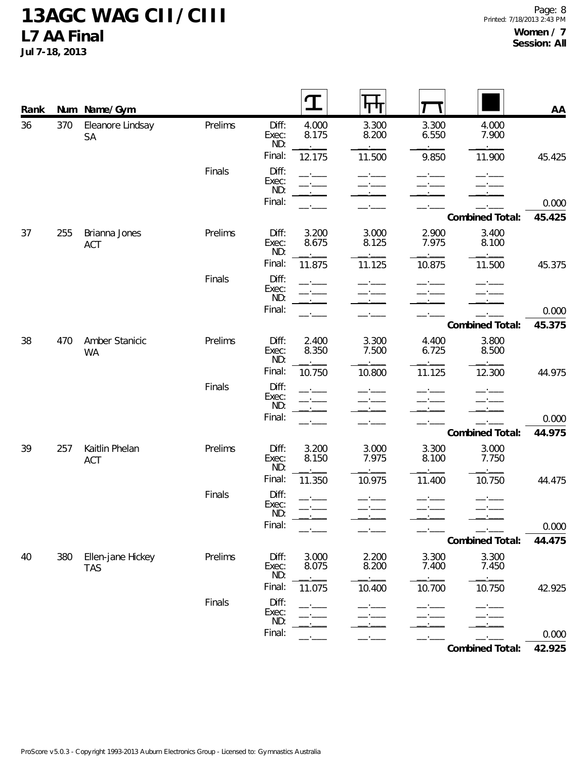**Jul 7-18, 2013**

| Rank |     | Num Name/Gym                    |         |                       |                | गा             |                |                 | AA     |
|------|-----|---------------------------------|---------|-----------------------|----------------|----------------|----------------|-----------------|--------|
| 36   | 370 | Eleanore Lindsay<br>SA          | Prelims | Diff:<br>Exec:<br>ND: | 4.000<br>8.175 | 3.300<br>8.200 | 3.300<br>6.550 | 4.000<br>7.900  |        |
|      |     |                                 |         | Final:                | 12.175         | 11.500         | 9.850          | 11.900          | 45.425 |
|      |     |                                 | Finals  | Diff:<br>Exec:<br>ND: |                |                |                |                 |        |
|      |     |                                 |         | Final:                |                |                |                |                 | 0.000  |
|      |     |                                 |         |                       |                |                |                | Combined Total: | 45.425 |
| 37   | 255 | Brianna Jones<br>ACT            | Prelims | Diff:<br>Exec:<br>ND: | 3.200<br>8.675 | 3.000<br>8.125 | 2.900<br>7.975 | 3.400<br>8.100  |        |
|      |     |                                 |         | Final:                | 11.875         | 11.125         | 10.875         | 11.500          | 45.375 |
|      |     |                                 | Finals  | Diff:<br>Exec:<br>ND: |                |                |                |                 |        |
|      |     |                                 |         | Final:                |                |                |                |                 | 0.000  |
|      |     |                                 |         |                       |                |                |                | Combined Total: | 45.375 |
| 38   | 470 | Amber Stanicic<br><b>WA</b>     | Prelims | Diff:<br>Exec:<br>ND: | 2.400<br>8.350 | 3.300<br>7.500 | 4.400<br>6.725 | 3.800<br>8.500  |        |
|      |     |                                 |         | Final:                | 10.750         | 10.800         | 11.125         | 12.300          | 44.975 |
|      |     |                                 | Finals  | Diff:<br>Exec:<br>ND: |                |                |                |                 |        |
|      |     |                                 |         | Final:                |                |                |                |                 | 0.000  |
|      |     |                                 |         |                       |                |                |                | Combined Total: | 44.975 |
| 39   | 257 | Kaitlin Phelan<br>ACT           | Prelims | Diff:<br>Exec:<br>ND: | 3.200<br>8.150 | 3.000<br>7.975 | 3.300<br>8.100 | 3.000<br>7.750  |        |
|      |     |                                 |         | Final:                | 11.350         | 10.975         | 11.400         | 10.750          | 44.475 |
|      |     |                                 | Finals  | Diff:<br>Exec:<br>ND: |                |                |                |                 |        |
|      |     |                                 |         | Final:                |                |                |                |                 | 0.000  |
|      |     |                                 |         |                       |                |                |                | Combined Total: | 44.475 |
| 40   | 380 | Ellen-jane Hickey<br><b>TAS</b> | Prelims | Diff:<br>Exec:<br>ND: | 3.000<br>8.075 | 2.200<br>8.200 | 3.300<br>7.400 | 3.300<br>7.450  |        |
|      |     |                                 |         | Final:                | 11.075         | 10.400         | 10.700         | 10.750          | 42.925 |
|      |     |                                 | Finals  | Diff:<br>Exec:<br>ND: |                |                |                |                 |        |
|      |     |                                 |         | Final:                |                |                |                |                 | 0.000  |

**Combined Total: 42.925**